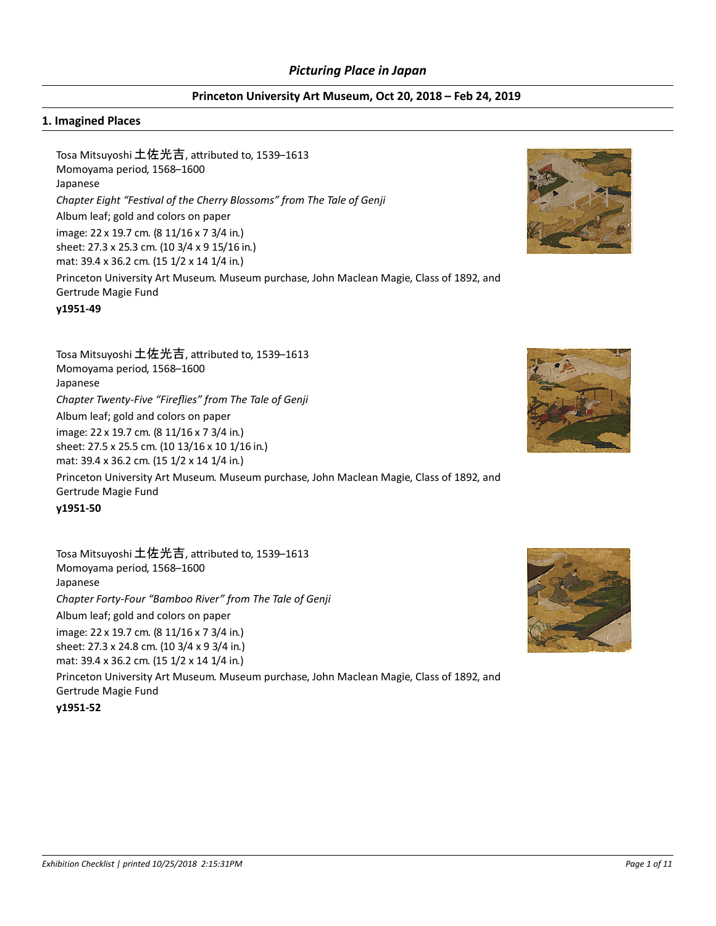#### **Princeton University Art Museum, Oct 20, 2018 – Feb 24, 2019**

#### **1. Imagined Places**

Tosa Mitsuyoshi 土佐光吉, attributed to, 1539-1613 Momoyama period, 1568–1600 Japanese *Chapter Eight "FesƟval of the Cherry Blossoms" from The Tale of Genji* Album leaf; gold and colors on paper image: 22 x 19.7 cm. (8 11/16 x 7 3/4 in.) sheet: 27.3 x 25.3 cm. (10 3/4 x 9 15/16 in.) mat: 39.4 x 36.2 cm. (15 1/2 x 14 1/4 in.) Princeton University Art Museum. Museum purchase, John Maclean Magie, Class of 1892, and Gertrude Magie Fund

**y1951-49**

Tosa Mitsuyoshi 土佐光吉, attributed to, 1539–1613 Momoyama period, 1568–1600 Japanese *Chapter Twenty-Five "Fireflies" from The Tale of Genji* Album leaf; gold and colors on paper image: 22 x 19.7 cm. (8 11/16 x 7 3/4 in.) sheet: 27.5 x 25.5 cm. (10 13/16 x 10 1/16 in.) mat: 39.4 x 36.2 cm. (15 1/2 x 14 1/4 in.) Princeton University Art Museum. Museum purchase, John Maclean Magie, Class of 1892, and Gertrude Magie Fund

**y1951-50**

Tosa Mitsuyoshi 土佐光吉, attributed to, 1539-1613 Momoyama period, 1568–1600 Japanese *Chapter Forty-Four "Bamboo River" from The Tale of Genji* Album leaf; gold and colors on paper image: 22 x 19.7 cm. (8 11/16 x 7 3/4 in.) sheet: 27.3 x 24.8 cm. (10 3/4 x 9 3/4 in.) mat: 39.4 x 36.2 cm. (15 1/2 x 14 1/4 in.) Princeton University Art Museum. Museum purchase, John Maclean Magie, Class of 1892, and Gertrude Magie Fund **y1951-52**





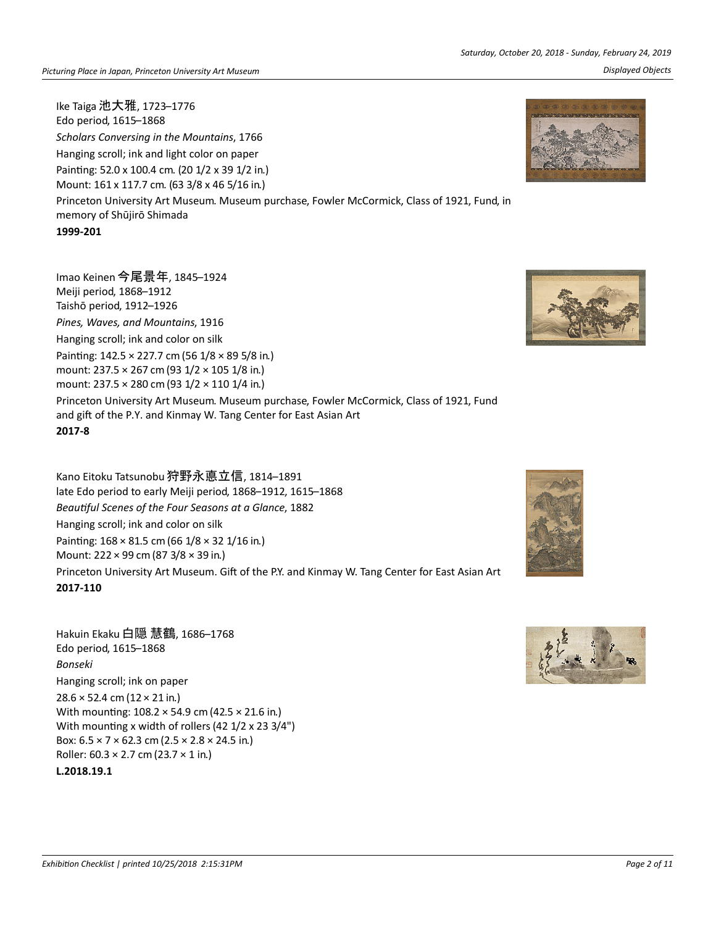Ike Taiga 池大雅, 1723–1776

Edo period, 1615–1868 *Scholars Conversing in the Mountains*, 1766 Hanging scroll; ink and light color on paper Painting: 52.0 x 100.4 cm. (20 1/2 x 39 1/2 in.) Mount: 161 x 117.7 cm. (63 3/8 x 46 5/16 in.) Princeton University Art Museum. Museum purchase, Fowler McCormick, Class of 1921, Fund, in memory of Shūjirō Shimada **1999-201**

Imao Keinen 今尾景年, 1845–1924 Meiji period, 1868–1912 Taishō period, 1912–1926 *Pines, Waves, and Mountains*, 1916 Hanging scroll; ink and color on silk Painting:  $142.5 \times 227.7$  cm (56  $1/8 \times 89$  5/8 in.) mount: 237.5 × 267 cm (93 1/2 × 105 1/8 in.) mount: 237.5 × 280 cm (93 1/2 × 110 1/4 in.) Princeton University Art Museum. Museum purchase, Fowler McCormick, Class of 1921, Fund and gift of the P.Y. and Kinmay W. Tang Center for East Asian Art **2017-8**

Kano Eitoku Tatsunobu 狩野永悳立信, 1814–1891 late Edo period to early Meiji period, 1868–1912, 1615–1868 *BeauƟful Scenes of the Four Seasons at a Glance*, 1882 Hanging scroll; ink and color on silk Painting: 168 × 81.5 cm (66 1/8 × 32 1/16 in.) Mount: 222 × 99 cm (87 3/8 × 39 in.) Princeton University Art Museum. Gift of the P.Y. and Kinmay W. Tang Center for East Asian Art **2017-110**

## Hakuin Ekaku 白隠 慧鶴, 1686–1768 Edo period, 1615–1868 *Bonseki* Hanging scroll; ink on paper 28.6 × 52.4 cm (12 × 21 in.) With mounting:  $108.2 \times 54.9$  cm (42.5  $\times$  21.6 in.) With mounting x width of rollers (42  $1/2$  x 23  $3/4"$ ) Box:  $6.5 \times 7 \times 62.3$  cm ( $2.5 \times 2.8 \times 24.5$  in.) Roller:  $60.3 \times 2.7$  cm (23.7  $\times$  1 in.)

### **L.2018.19.1**







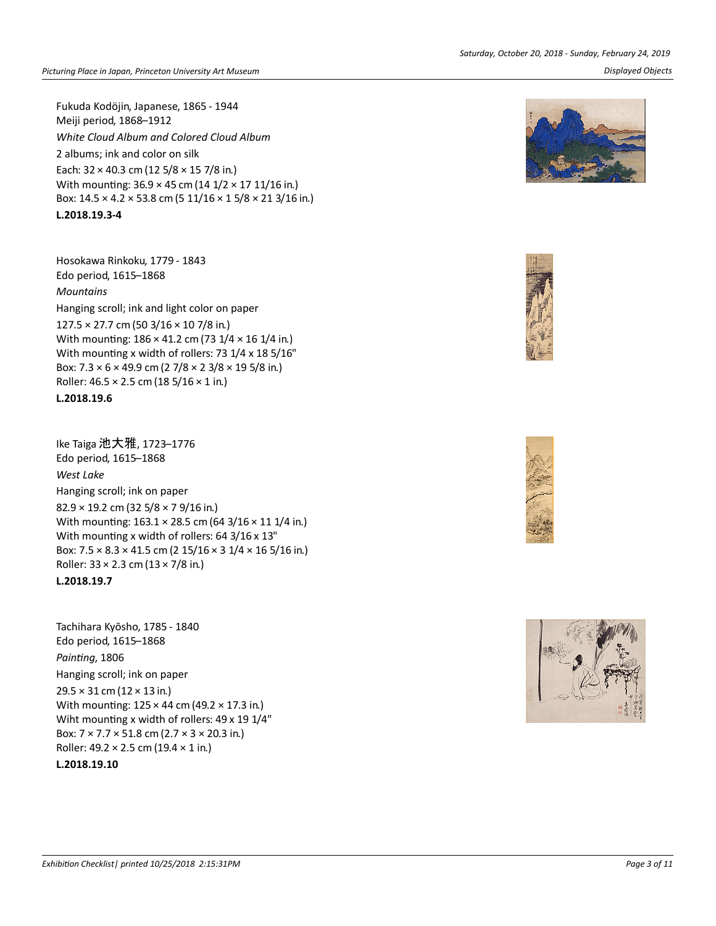Fukuda Kodöjin, Japanese, 1865 - 1944 Meiji period, 1868–1912 *White Cloud Album and Colored Cloud Album* 2 albums; ink and color on silk Each:  $32 \times 40.3$  cm (12 5/8  $\times$  15 7/8 in.) With mounting:  $36.9 \times 45$  cm (14  $1/2 \times 17$  11/16 in.) Box: 14.5 × 4.2 × 53.8 cm (5 11/16 × 1 5/8 × 21 3/16 in.)

**L.2018.19.3-4**

Hosokawa Rinkoku, 1779 - 1843 Edo period, 1615–1868 *Mountains* Hanging scroll; ink and light color on paper 127.5 × 27.7 cm (50 3/16 × 10 7/8 in.) With mounting:  $186 \times 41.2$  cm (73  $1/4 \times 16$  1/4 in.) With mounting x width of rollers: 73  $1/4$  x 18  $5/16"$ Box:  $7.3 \times 6 \times 49.9$  cm (2  $7/8 \times 23/8 \times 195/8$  in.) Roller:  $46.5 \times 2.5$  cm (18  $5/16 \times 1$  in.)

## **L.2018.19.6**

Ike Taiga 池大雅, 1723–1776 Edo period, 1615–1868 *West Lake* Hanging scroll; ink on paper 82.9 × 19.2 cm (32 5/8 × 7 9/16 in.) With mounting:  $163.1 \times 28.5$  cm (64 3/16  $\times$  11 1/4 in.) With mounting x width of rollers:  $64$  3/16 x 13" Box:  $7.5 \times 8.3 \times 41.5$  cm (2  $15/16 \times 31/4 \times 165/16$  in.) Roller:  $33 \times 2.3$  cm  $(13 \times 7/8)$  in.)

# **L.2018.19.7**

Tachihara Kyōsho, 1785 - 1840 Edo period, 1615–1868 *PainƟng*, 1806 Hanging scroll; ink on paper  $29.5 \times 31$  cm ( $12 \times 13$  in.) With mounting:  $125 \times 44$  cm (49.2  $\times$  17.3 in.) Wiht mounting x width of rollers: 49 x 19 1/4" Box: 7 × 7.7 × 51.8 cm (2.7 × 3 × 20.3 in.) Roller:  $49.2 \times 2.5$  cm (19.4  $\times$  1 in.)

## **L.2018.19.10**

*Saturday, October 20, 2018 - Sunday, February 24, 2019 Picturing Place in Japan, Princeton University Art Museum Displayed Objects*







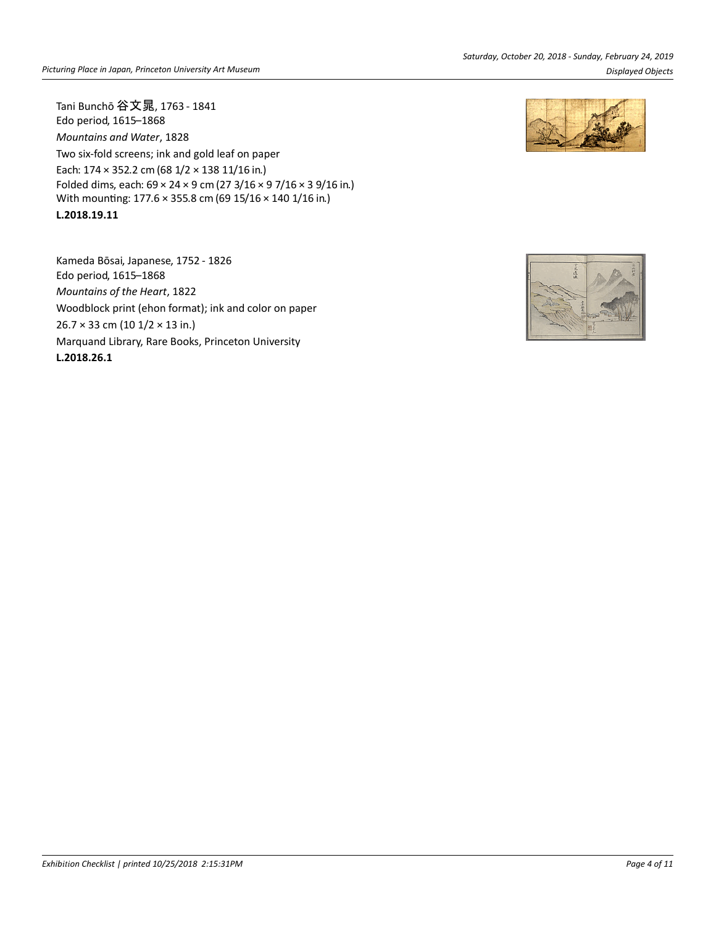Tani Bunchō 谷文晁, 1763 - 1841 Edo period, 1615–1868 *Mountains and Water*, 1828 Two six-fold screens; ink and gold leaf on paper Each: 174 × 352.2 cm (68 1/2 × 138 11/16 in.) Folded dims, each: 69 × 24 × 9 cm (27 3/16 × 9 7/16 × 3 9/16 in.) With mounting: 177.6 × 355.8 cm (69 15/16 × 140 1/16 in.) **L.2018.19.11**

Kameda Bōsai, Japanese, 1752 - 1826 Edo period, 1615–1868 *Mountains of the Heart*, 1822 Woodblock print (ehon format); ink and color on paper 26.7 × 33 cm (10 1/2 × 13 in.) Marquand Library, Rare Books, Princeton University **L.2018.26.1**



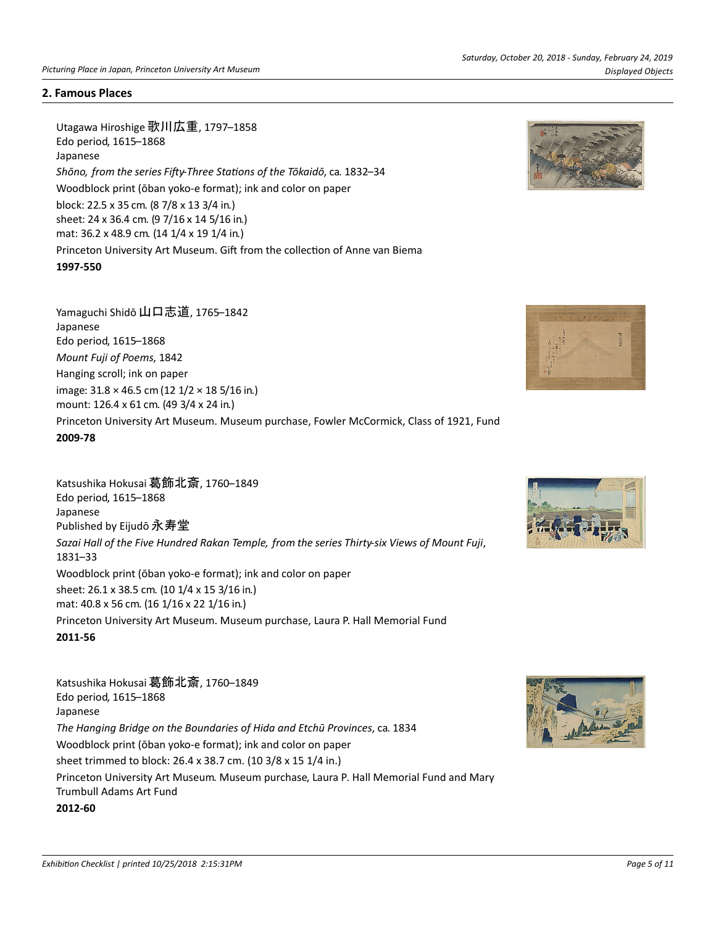#### **2. Famous Places**

Utagawa Hiroshige 歌川広重, 1797–1858 Edo period, 1615–1868 Japanese Shōno, from the series Fifty-Three Stations of the Tōkaidō, ca. 1832-34 Woodblock print (ōban yoko-e format); ink and color on paper block: 22.5 x 35 cm. (8 7/8 x 13 3/4 in.) sheet: 24 x 36.4 cm. (9 7/16 x 14 5/16 in.) mat: 36.2 x 48.9 cm. (14 1/4 x 19 1/4 in.) Princeton University Art Museum. Gift from the collection of Anne van Biema **1997-550**





Katsushika Hokusai 葛飾北斎, 1760–1849 Edo period, 1615–1868 Japanese Published by Eijudō 永寿堂 *Sazai Hall of the Five Hundred Rakan Temple, from the series Thirty-six Views of Mount Fuji*, 1831–33 Woodblock print (ōban yoko-e format); ink and color on paper sheet: 26.1 x 38.5 cm. (10 1/4 x 15 3/16 in.) mat: 40.8 x 56 cm. (16 1/16 x 22 1/16 in.) Princeton University Art Museum. Museum purchase, Laura P. Hall Memorial Fund **2011-56**

Katsushika Hokusai 葛飾北斎, 1760–1849 Edo period, 1615–1868 Japanese *The Hanging Bridge on the Boundaries of Hida and Etchū Provinces*, ca. 1834 Woodblock print (ōban yoko-e format); ink and color on paper sheet trimmed to block: 26.4 x 38.7 cm. (10 3/8 x 15 1/4 in.) Princeton University Art Museum. Museum purchase, Laura P. Hall Memorial Fund and Mary Trumbull Adams Art Fund **2012-60**



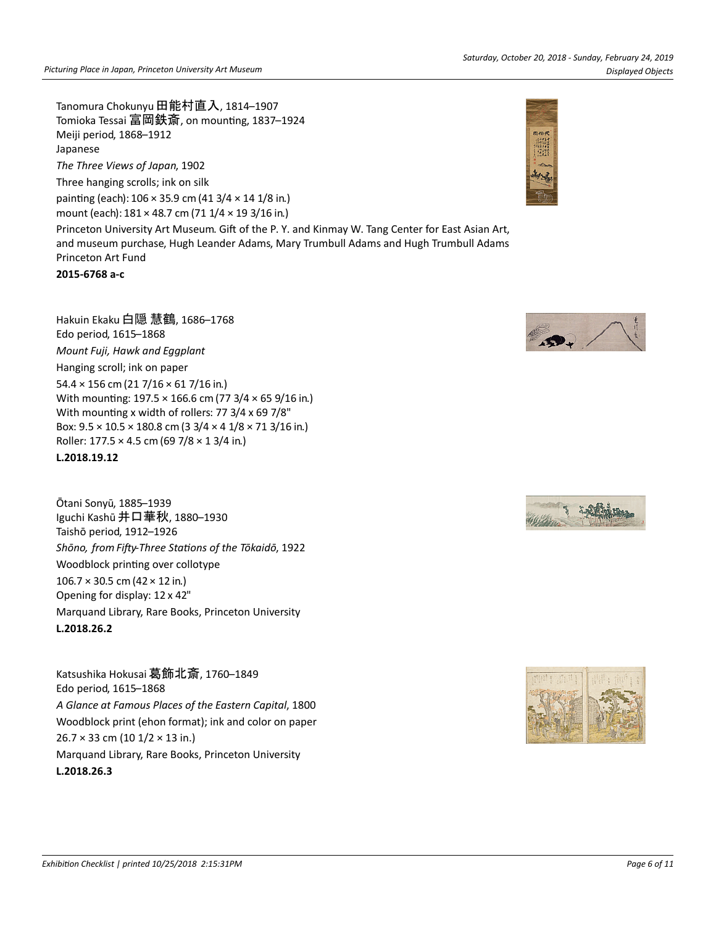Tanomura Chokunyu 田能村直入, 1814–1907 Tomioka Tessai 富岡鉄斎, on mounting, 1837–1924 Meiji period, 1868–1912 Japanese

*The Three Views of Japan*, 1902

Three hanging scrolls; ink on silk painting (each):  $106 \times 35.9$  cm (41 3/4  $\times$  14 1/8 in.) mount (each): 181 × 48.7 cm (71 1/4 × 19 3/16 in.)

Princeton University Art Museum. Gift of the P. Y. and Kinmay W. Tang Center for East Asian Art, and museum purchase, Hugh Leander Adams, Mary Trumbull Adams and Hugh Trumbull Adams Princeton Art Fund

**2015-6768 a-c**

Hakuin Ekaku 白隠 慧鶴, 1686–1768 Edo period, 1615–1868 *Mount Fuji, Hawk and Eggplant* Hanging scroll; ink on paper 54.4 × 156 cm (21 7/16 × 61 7/16 in.) With mounting:  $197.5 \times 166.6$  cm (77 3/4  $\times$  65 9/16 in.) With mounting x width of rollers:  $77 \frac{3}{4} \times 69 \frac{7}{8}$ " Box:  $9.5 \times 10.5 \times 180.8$  cm (3 3/4  $\times$  4 1/8  $\times$  71 3/16 in.) Roller:  $177.5 \times 4.5$  cm (69 7/8  $\times$  1 3/4 in.) **L.2018.19.12**

Ōtani Sonyū, 1885–1939 Iguchi Kashū 井口華秋, 1880–1930 Taishō period, 1912–1926 Shōno, from Fifty-Three Stations of the Tōkaidō, 1922 Woodblock printing over collotype  $106.7 \times 30.5$  cm (42  $\times$  12 in.) Opening for display: 12 x 42" Marquand Library, Rare Books, Princeton University **L.2018.26.2**

Katsushika Hokusai 葛飾北斎, 1760–1849 Edo period, 1615–1868 *A Glance at Famous Places of the Eastern Capital*, 1800 Woodblock print (ehon format); ink and color on paper 26.7 × 33 cm (10 1/2 × 13 in.) Marquand Library, Rare Books, Princeton University **L.2018.26.3**





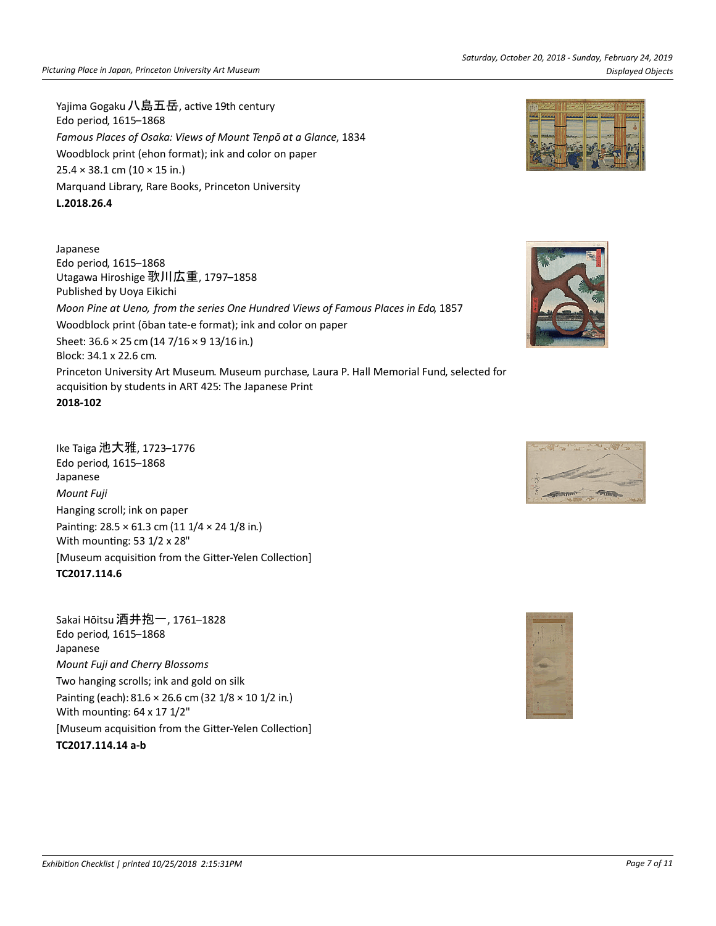Yajima Gogaku 八島五岳, active 19th century Edo period, 1615–1868 *Famous Places of Osaka: Views of Mount Tenpō at a Glance*, 1834 Woodblock print (ehon format); ink and color on paper  $25.4 \times 38.1$  cm  $(10 \times 15)$  in.) Marquand Library, Rare Books, Princeton University **L.2018.26.4**

Japanese Edo period, 1615–1868 Utagawa Hiroshige 歌川広重, 1797–1858 Published by Uoya Eikichi *Moon Pine at Ueno, from the series One Hundred Views of Famous Places in Edo*, 1857 Woodblock print (ōban tate-e format); ink and color on paper Sheet: 36.6 × 25 cm (14 7/16 × 9 13/16 in.) Block: 34.1 x 22.6 cm. Princeton University Art Museum. Museum purchase, Laura P. Hall Memorial Fund, selected for acquisition by students in ART 425: The Japanese Print **2018-102**

Ike Taiga 池大雅, 1723–1776 Edo period, 1615–1868 Japanese *Mount Fuji* Hanging scroll; ink on paper Painting: 28.5 × 61.3 cm (11 1/4 × 24 1/8 in.) With mounting: 53 1/2 x 28" [Museum acquisition from the Gitter-Yelen Collection] **TC2017.114.6**

Sakai Hōitsu 酒井抱一, 1761–1828 Edo period, 1615–1868 Japanese *Mount Fuji and Cherry Blossoms* Two hanging scrolls; ink and gold on silk Painting (each):  $81.6 \times 26.6$  cm (32  $1/8 \times 10$  1/2 in.) With mounting:  $64 \times 17$   $1/2$ " [Museum acquisition from the Gitter-Yelen Collection] **TC2017.114.14 a-b**







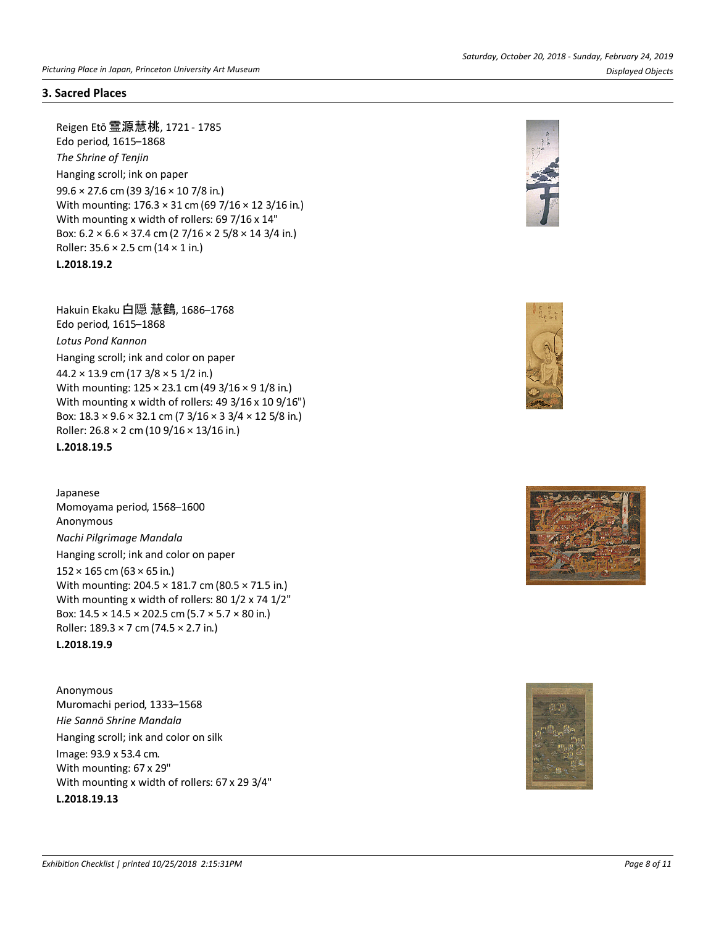### **3. Sacred Places**

Reigen Etō 霊源慧桃, 1721 - 1785 Edo period, 1615–1868 *The Shrine of Tenjin* Hanging scroll; ink on paper 99.6 × 27.6 cm (39 3/16 × 10 7/8 in.) With mounting:  $176.3 \times 31$  cm (69 7/16  $\times$  12 3/16 in.) With mounting x width of rollers: 69 7/16 x 14" Box:  $6.2 \times 6.6 \times 37.4$  cm (2  $7/16 \times 25/8 \times 143/4$  in.) Roller:  $35.6 \times 2.5$  cm ( $14 \times 1$  in.) **L.2018.19.2**

Hakuin Ekaku 白隠 慧鶴, 1686–1768 Edo period, 1615–1868 *Lotus Pond Kannon* Hanging scroll; ink and color on paper  $44.2 \times 13.9$  cm (17  $3/8 \times 5$  1/2 in.) With mounting:  $125 \times 23.1$  cm (49 3/16  $\times$  9 1/8 in.) With mounting x width of rollers:  $49 \frac{3}{16} \times 10 \frac{9}{16}$ ") Box:  $18.3 \times 9.6 \times 32.1$  cm (7  $3/16 \times 3.3/4 \times 12.5/8$  in.) Roller: 26.8 × 2 cm (10 9/16 × 13/16 in.) **L.2018.19.5**

Japanese Momoyama period, 1568–1600 Anonymous *Nachi Pilgrimage Mandala* Hanging scroll; ink and color on paper  $152 \times 165$  cm (63  $\times$  65 in.) With mounting: 204.5 × 181.7 cm (80.5 × 71.5 in.) With mounting x width of rollers: 80 1/2 x 74 1/2" Box:  $14.5 \times 14.5 \times 202.5$  cm (5.7  $\times$  5.7  $\times$  80 in.) Roller: 189.3 × 7 cm (74.5 × 2.7 in.)

**L.2018.19.9**

Anonymous Muromachi period, 1333–1568 *Hie Sannō Shrine Mandala* Hanging scroll; ink and color on silk Image: 93.9 x 53.4 cm. With mounting: 67 x 29" With mounting x width of rollers: 67 x 29 3/4" **L.2018.19.13**







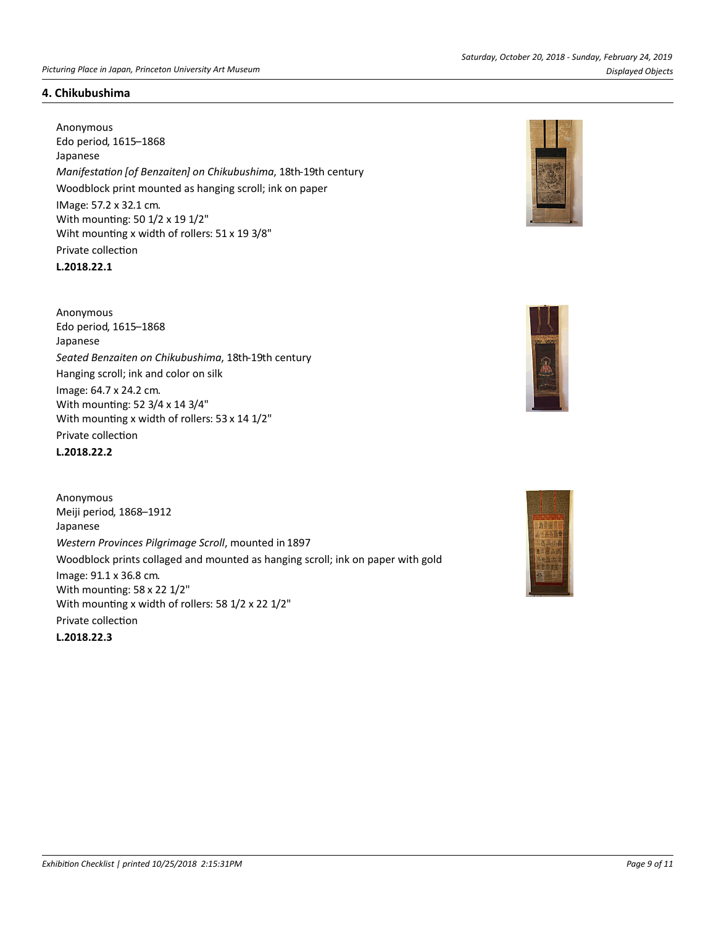#### *Picturing Place in Japan, Princeton University Art Museum Displayed Objects*

#### **4. Chikubushima**

Anonymous Edo period, 1615–1868 Japanese *ManifestaƟon [of Benzaiten] on Chikubushima*, 18th-19th century Woodblock print mounted as hanging scroll; ink on paper IMage: 57.2 x 32.1 cm. With mounting: 50 1/2 x 19 1/2" Wiht mounting x width of rollers:  $51 \times 19$  3/8" Private collection **L.2018.22.1**

Anonymous Edo period, 1615–1868 Japanese *Seated Benzaiten on Chikubushima*, 18th-19th century Hanging scroll; ink and color on silk Image: 64.7 x 24.2 cm. With mounting: 52 3/4 x 14 3/4" With mounting x width of rollers: 53 x 14 1/2" Private collection

**L.2018.22.2**

Anonymous Meiji period, 1868–1912 Japanese *Western Provinces Pilgrimage Scroll*, mounted in 1897 Woodblock prints collaged and mounted as hanging scroll; ink on paper with gold Image: 91.1 x 36.8 cm. With mounting: 58 x 22 1/2" With mounting x width of rollers: 58 1/2 x 22 1/2" Private collection **L.2018.22.3**





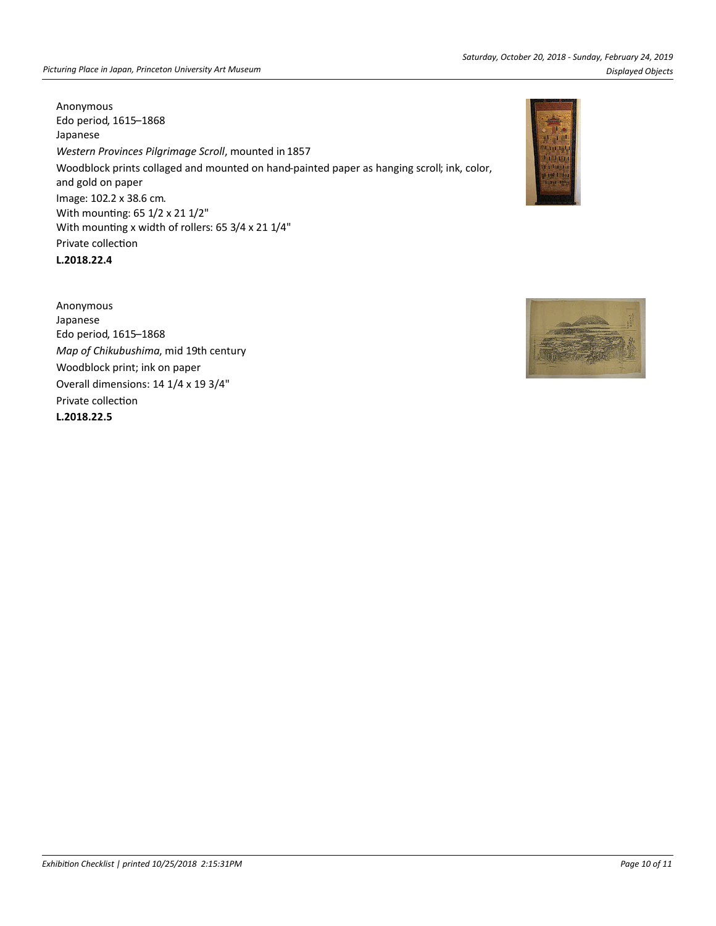Anonymous Edo period, 1615–1868 Japanese *Western Provinces Pilgrimage Scroll*, mounted in 1857 Woodblock prints collaged and mounted on hand-painted paper as hanging scroll; ink, color, and gold on paper Image: 102.2 x 38.6 cm. With mounting: 65 1/2 x 21 1/2" With mounting x width of rollers: 65 3/4 x 21 1/4" Private collection

**L.2018.22.4**

Anonymous Japanese Edo period, 1615–1868 *Map of Chikubushima*, mid 19th century Woodblock print; ink on paper Overall dimensions: 14 1/4 x 19 3/4" Private collection **L.2018.22.5**